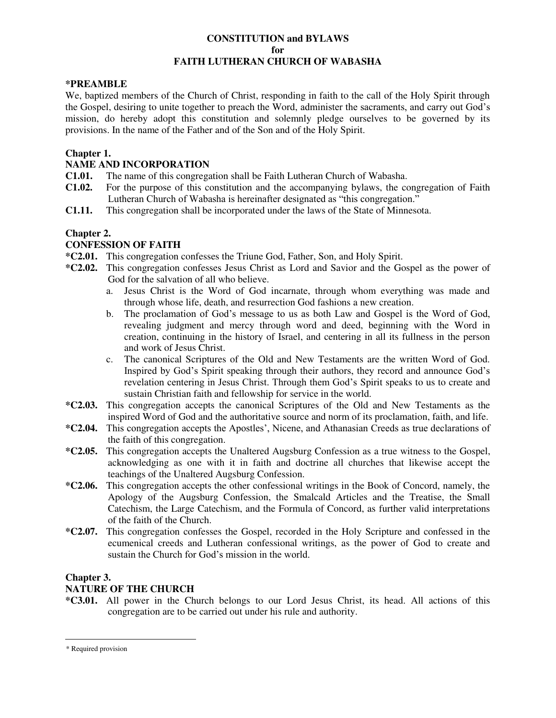### **CONSTITUTION and BYLAWS for FAITH LUTHERAN CHURCH OF WABASHA**

### **\*PREAMBLE**\*

We, baptized members of the Church of Christ, responding in faith to the call of the Holy Spirit through the Gospel, desiring to unite together to preach the Word, administer the sacraments, and carry out God's mission, do hereby adopt this constitution and solemnly pledge ourselves to be governed by its provisions. In the name of the Father and of the Son and of the Holy Spirit.

## **Chapter 1.**

## **NAME AND INCORPORATION**

- **C1.01.** The name of this congregation shall be Faith Lutheran Church of Wabasha.
- **C1.02.** For the purpose of this constitution and the accompanying bylaws, the congregation of Faith Lutheran Church of Wabasha is hereinafter designated as "this congregation."
- **C1.11.** This congregation shall be incorporated under the laws of the State of Minnesota.

## **Chapter 2.**

## **CONFESSION OF FAITH**

- **\*C2.01.** This congregation confesses the Triune God, Father, Son, and Holy Spirit.
- **\*C2.02.** This congregation confesses Jesus Christ as Lord and Savior and the Gospel as the power of God for the salvation of all who believe.
	- a. Jesus Christ is the Word of God incarnate, through whom everything was made and through whose life, death, and resurrection God fashions a new creation.
	- b. The proclamation of God's message to us as both Law and Gospel is the Word of God, revealing judgment and mercy through word and deed, beginning with the Word in creation, continuing in the history of Israel, and centering in all its fullness in the person and work of Jesus Christ.
	- c. The canonical Scriptures of the Old and New Testaments are the written Word of God. Inspired by God's Spirit speaking through their authors, they record and announce God's revelation centering in Jesus Christ. Through them God's Spirit speaks to us to create and sustain Christian faith and fellowship for service in the world.
- **\*C2.03.** This congregation accepts the canonical Scriptures of the Old and New Testaments as the inspired Word of God and the authoritative source and norm of its proclamation, faith, and life.
- **\*C2.04.** This congregation accepts the Apostles', Nicene, and Athanasian Creeds as true declarations of the faith of this congregation.
- **\*C2.05.** This congregation accepts the Unaltered Augsburg Confession as a true witness to the Gospel, acknowledging as one with it in faith and doctrine all churches that likewise accept the teachings of the Unaltered Augsburg Confession.
- **\*C2.06.** This congregation accepts the other confessional writings in the Book of Concord, namely, the Apology of the Augsburg Confession, the Smalcald Articles and the Treatise, the Small Catechism, the Large Catechism, and the Formula of Concord, as further valid interpretations of the faith of the Church.
- **\*C2.07.** This congregation confesses the Gospel, recorded in the Holy Scripture and confessed in the ecumenical creeds and Lutheran confessional writings, as the power of God to create and sustain the Church for God's mission in the world.

## **Chapter 3.**

## **NATURE OF THE CHURCH**

**\*C3.01.** All power in the Church belongs to our Lord Jesus Christ, its head. All actions of this congregation are to be carried out under his rule and authority.

 $\overline{a}$ 

<sup>\*</sup> Required provision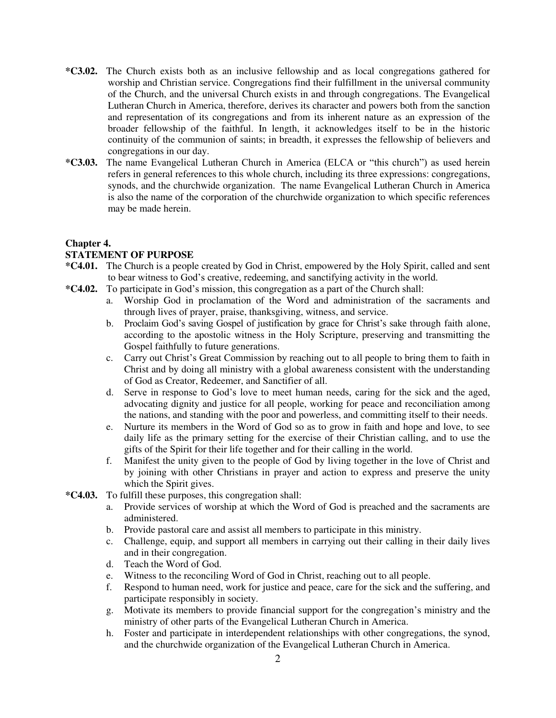- **\*C3.02.** The Church exists both as an inclusive fellowship and as local congregations gathered for worship and Christian service. Congregations find their fulfillment in the universal community of the Church, and the universal Church exists in and through congregations. The Evangelical Lutheran Church in America, therefore, derives its character and powers both from the sanction and representation of its congregations and from its inherent nature as an expression of the broader fellowship of the faithful. In length, it acknowledges itself to be in the historic continuity of the communion of saints; in breadth, it expresses the fellowship of believers and congregations in our day.
- **\*C3.03.** The name Evangelical Lutheran Church in America (ELCA or "this church") as used herein refers in general references to this whole church, including its three expressions: congregations, synods, and the churchwide organization. The name Evangelical Lutheran Church in America is also the name of the corporation of the churchwide organization to which specific references may be made herein.

## **Chapter 4.**

### **STATEMENT OF PURPOSE**

- **\*C4.01.** The Church is a people created by God in Christ, empowered by the Holy Spirit, called and sent to bear witness to God's creative, redeeming, and sanctifying activity in the world.
- **\*C4.02.** To participate in God's mission, this congregation as a part of the Church shall:
	- a. Worship God in proclamation of the Word and administration of the sacraments and through lives of prayer, praise, thanksgiving, witness, and service.
	- b. Proclaim God's saving Gospel of justification by grace for Christ's sake through faith alone, according to the apostolic witness in the Holy Scripture, preserving and transmitting the Gospel faithfully to future generations.
	- c. Carry out Christ's Great Commission by reaching out to all people to bring them to faith in Christ and by doing all ministry with a global awareness consistent with the understanding of God as Creator, Redeemer, and Sanctifier of all.
	- d. Serve in response to God's love to meet human needs, caring for the sick and the aged, advocating dignity and justice for all people, working for peace and reconciliation among the nations, and standing with the poor and powerless, and committing itself to their needs.
	- e. Nurture its members in the Word of God so as to grow in faith and hope and love, to see daily life as the primary setting for the exercise of their Christian calling, and to use the gifts of the Spirit for their life together and for their calling in the world.
	- f. Manifest the unity given to the people of God by living together in the love of Christ and by joining with other Christians in prayer and action to express and preserve the unity which the Spirit gives.
- **\*C4.03.** To fulfill these purposes, this congregation shall:
	- a. Provide services of worship at which the Word of God is preached and the sacraments are administered.
	- b. Provide pastoral care and assist all members to participate in this ministry.
	- c. Challenge, equip, and support all members in carrying out their calling in their daily lives and in their congregation.
	- d. Teach the Word of God.
	- e. Witness to the reconciling Word of God in Christ, reaching out to all people.
	- f. Respond to human need, work for justice and peace, care for the sick and the suffering, and participate responsibly in society.
	- g. Motivate its members to provide financial support for the congregation's ministry and the ministry of other parts of the Evangelical Lutheran Church in America.
	- h. Foster and participate in interdependent relationships with other congregations, the synod, and the churchwide organization of the Evangelical Lutheran Church in America.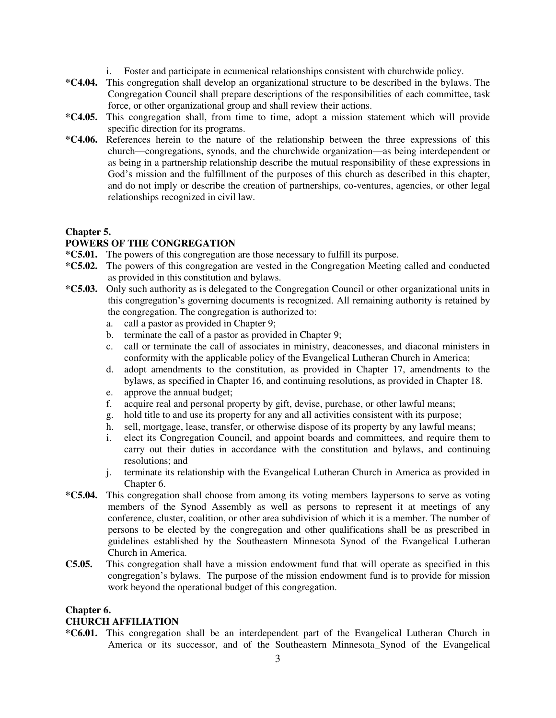- i. Foster and participate in ecumenical relationships consistent with churchwide policy.
- **\*C4.04.** This congregation shall develop an organizational structure to be described in the bylaws. The Congregation Council shall prepare descriptions of the responsibilities of each committee, task force, or other organizational group and shall review their actions.
- **\*C4.05.** This congregation shall, from time to time, adopt a mission statement which will provide specific direction for its programs.
- **\*C4.06.** References herein to the nature of the relationship between the three expressions of this church—congregations, synods, and the churchwide organization—as being interdependent or as being in a partnership relationship describe the mutual responsibility of these expressions in God's mission and the fulfillment of the purposes of this church as described in this chapter, and do not imply or describe the creation of partnerships, co-ventures, agencies, or other legal relationships recognized in civil law.

## **Chapter 5.**

## **POWERS OF THE CONGREGATION**

- **\*C5.01.** The powers of this congregation are those necessary to fulfill its purpose.
- **\*C5.02.** The powers of this congregation are vested in the Congregation Meeting called and conducted as provided in this constitution and bylaws.
- **\*C5.03.** Only such authority as is delegated to the Congregation Council or other organizational units in this congregation's governing documents is recognized. All remaining authority is retained by the congregation. The congregation is authorized to:
	- a. call a pastor as provided in Chapter 9;
	- b. terminate the call of a pastor as provided in Chapter 9;
	- c. call or terminate the call of associates in ministry, deaconesses, and diaconal ministers in conformity with the applicable policy of the Evangelical Lutheran Church in America;
	- d. adopt amendments to the constitution, as provided in Chapter 17, amendments to the bylaws, as specified in Chapter 16, and continuing resolutions, as provided in Chapter 18.
	- e. approve the annual budget;
	- f. acquire real and personal property by gift, devise, purchase, or other lawful means;
	- g. hold title to and use its property for any and all activities consistent with its purpose;
	- h. sell, mortgage, lease, transfer, or otherwise dispose of its property by any lawful means;
	- i. elect its Congregation Council, and appoint boards and committees, and require them to carry out their duties in accordance with the constitution and bylaws, and continuing resolutions; and
	- j. terminate its relationship with the Evangelical Lutheran Church in America as provided in Chapter 6.
- **\*C5.04.** This congregation shall choose from among its voting members laypersons to serve as voting members of the Synod Assembly as well as persons to represent it at meetings of any conference, cluster, coalition, or other area subdivision of which it is a member. The number of persons to be elected by the congregation and other qualifications shall be as prescribed in guidelines established by the Southeastern Minnesota Synod of the Evangelical Lutheran Church in America.
- **C5.05.** This congregation shall have a mission endowment fund that will operate as specified in this congregation's bylaws. The purpose of the mission endowment fund is to provide for mission work beyond the operational budget of this congregation.

## **Chapter 6.**

## **CHURCH AFFILIATION**

**\*C6.01.** This congregation shall be an interdependent part of the Evangelical Lutheran Church in America or its successor, and of the Southeastern Minnesota Synod of the Evangelical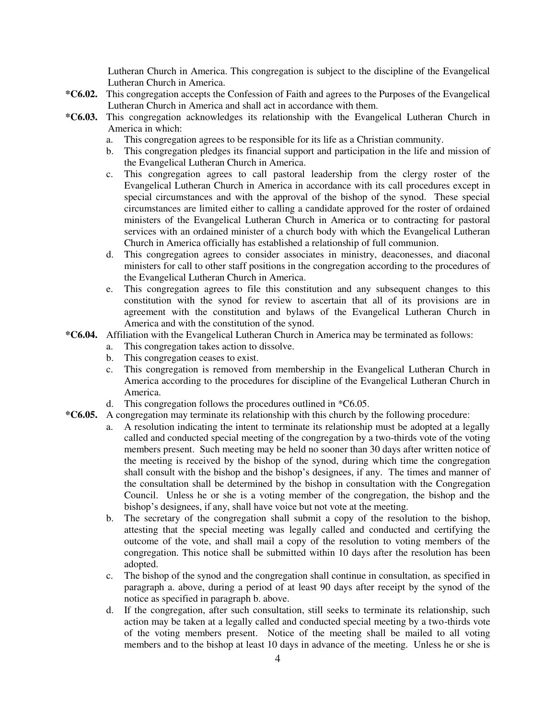Lutheran Church in America. This congregation is subject to the discipline of the Evangelical Lutheran Church in America.

- **\*C6.02.** This congregation accepts the Confession of Faith and agrees to the Purposes of the Evangelical Lutheran Church in America and shall act in accordance with them.
- **\*C6.03.** This congregation acknowledges its relationship with the Evangelical Lutheran Church in America in which:
	- a. This congregation agrees to be responsible for its life as a Christian community.
	- b. This congregation pledges its financial support and participation in the life and mission of the Evangelical Lutheran Church in America.
	- c. This congregation agrees to call pastoral leadership from the clergy roster of the Evangelical Lutheran Church in America in accordance with its call procedures except in special circumstances and with the approval of the bishop of the synod. These special circumstances are limited either to calling a candidate approved for the roster of ordained ministers of the Evangelical Lutheran Church in America or to contracting for pastoral services with an ordained minister of a church body with which the Evangelical Lutheran Church in America officially has established a relationship of full communion.
	- d. This congregation agrees to consider associates in ministry, deaconesses, and diaconal ministers for call to other staff positions in the congregation according to the procedures of the Evangelical Lutheran Church in America.
	- e. This congregation agrees to file this constitution and any subsequent changes to this constitution with the synod for review to ascertain that all of its provisions are in agreement with the constitution and bylaws of the Evangelical Lutheran Church in America and with the constitution of the synod.
- **\*C6.04.** Affiliation with the Evangelical Lutheran Church in America may be terminated as follows:
	- a. This congregation takes action to dissolve.
	- b. This congregation ceases to exist.
	- c. This congregation is removed from membership in the Evangelical Lutheran Church in America according to the procedures for discipline of the Evangelical Lutheran Church in America.
	- d. This congregation follows the procedures outlined in \*C6.05.
- **\*C6.05.** A congregation may terminate its relationship with this church by the following procedure:
	- a. A resolution indicating the intent to terminate its relationship must be adopted at a legally called and conducted special meeting of the congregation by a two-thirds vote of the voting members present. Such meeting may be held no sooner than 30 days after written notice of the meeting is received by the bishop of the synod, during which time the congregation shall consult with the bishop and the bishop's designees, if any. The times and manner of the consultation shall be determined by the bishop in consultation with the Congregation Council. Unless he or she is a voting member of the congregation, the bishop and the bishop's designees, if any, shall have voice but not vote at the meeting.
	- b. The secretary of the congregation shall submit a copy of the resolution to the bishop, attesting that the special meeting was legally called and conducted and certifying the outcome of the vote, and shall mail a copy of the resolution to voting members of the congregation. This notice shall be submitted within 10 days after the resolution has been adopted.
	- c. The bishop of the synod and the congregation shall continue in consultation, as specified in paragraph a. above, during a period of at least 90 days after receipt by the synod of the notice as specified in paragraph b. above.
	- d. If the congregation, after such consultation, still seeks to terminate its relationship, such action may be taken at a legally called and conducted special meeting by a two-thirds vote of the voting members present. Notice of the meeting shall be mailed to all voting members and to the bishop at least 10 days in advance of the meeting. Unless he or she is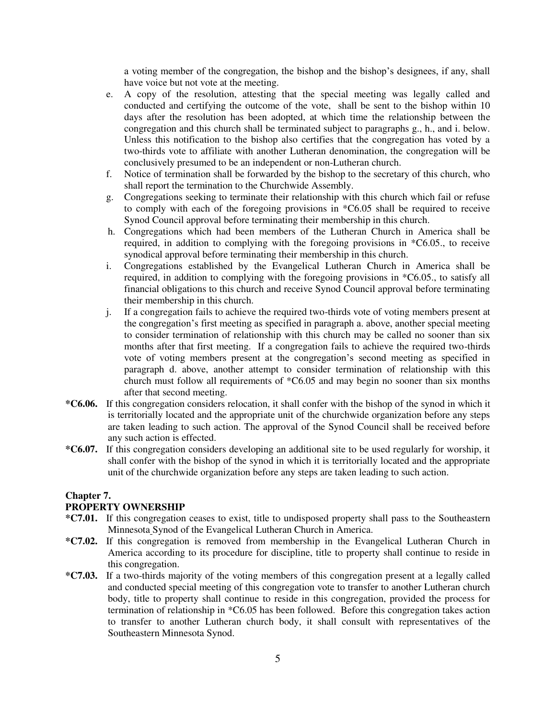a voting member of the congregation, the bishop and the bishop's designees, if any, shall have voice but not vote at the meeting.

- e. A copy of the resolution, attesting that the special meeting was legally called and conducted and certifying the outcome of the vote, shall be sent to the bishop within 10 days after the resolution has been adopted, at which time the relationship between the congregation and this church shall be terminated subject to paragraphs g., h., and i. below. Unless this notification to the bishop also certifies that the congregation has voted by a two-thirds vote to affiliate with another Lutheran denomination, the congregation will be conclusively presumed to be an independent or non-Lutheran church.
- f. Notice of termination shall be forwarded by the bishop to the secretary of this church, who shall report the termination to the Churchwide Assembly.
- g. Congregations seeking to terminate their relationship with this church which fail or refuse to comply with each of the foregoing provisions in \*C6.05 shall be required to receive Synod Council approval before terminating their membership in this church.
- h. Congregations which had been members of the Lutheran Church in America shall be required, in addition to complying with the foregoing provisions in \*C6.05., to receive synodical approval before terminating their membership in this church.
- i. Congregations established by the Evangelical Lutheran Church in America shall be required, in addition to complying with the foregoing provisions in \*C6.05., to satisfy all financial obligations to this church and receive Synod Council approval before terminating their membership in this church.
- j. If a congregation fails to achieve the required two-thirds vote of voting members present at the congregation's first meeting as specified in paragraph a. above, another special meeting to consider termination of relationship with this church may be called no sooner than six months after that first meeting. If a congregation fails to achieve the required two-thirds vote of voting members present at the congregation's second meeting as specified in paragraph d. above, another attempt to consider termination of relationship with this church must follow all requirements of \*C6.05 and may begin no sooner than six months after that second meeting.
- **\*C6.06.** If this congregation considers relocation, it shall confer with the bishop of the synod in which it is territorially located and the appropriate unit of the churchwide organization before any steps are taken leading to such action. The approval of the Synod Council shall be received before any such action is effected.
- **\*C6.07.** If this congregation considers developing an additional site to be used regularly for worship, it shall confer with the bishop of the synod in which it is territorially located and the appropriate unit of the churchwide organization before any steps are taken leading to such action.

## **Chapter 7.**

### **PROPERTY OWNERSHIP**

- **\*C7.01.** If this congregation ceases to exist, title to undisposed property shall pass to the Southeastern Minnesota Synod of the Evangelical Lutheran Church in America.
- **\*C7.02.** If this congregation is removed from membership in the Evangelical Lutheran Church in America according to its procedure for discipline, title to property shall continue to reside in this congregation.
- **\*C7.03.** If a two-thirds majority of the voting members of this congregation present at a legally called and conducted special meeting of this congregation vote to transfer to another Lutheran church body, title to property shall continue to reside in this congregation, provided the process for termination of relationship in \*C6.05 has been followed. Before this congregation takes action to transfer to another Lutheran church body, it shall consult with representatives of the Southeastern Minnesota Synod.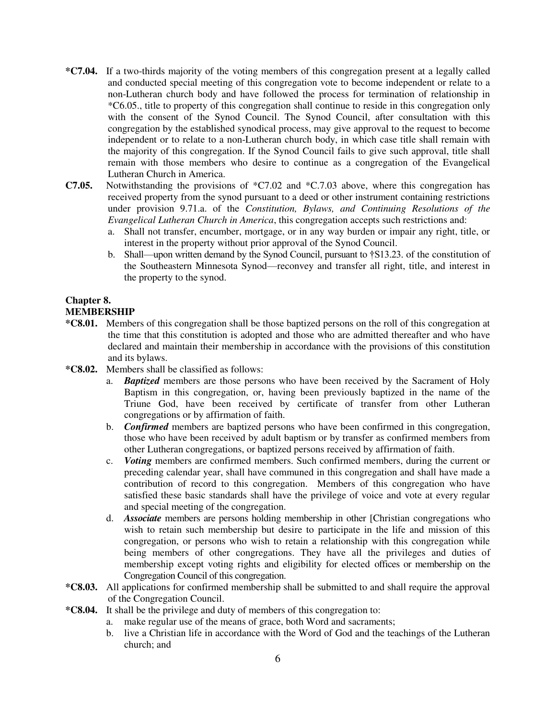- **\*C7.04.** If a two-thirds majority of the voting members of this congregation present at a legally called and conducted special meeting of this congregation vote to become independent or relate to a non-Lutheran church body and have followed the process for termination of relationship in \*C6.05., title to property of this congregation shall continue to reside in this congregation only with the consent of the Synod Council. The Synod Council, after consultation with this congregation by the established synodical process, may give approval to the request to become independent or to relate to a non-Lutheran church body, in which case title shall remain with the majority of this congregation. If the Synod Council fails to give such approval, title shall remain with those members who desire to continue as a congregation of the Evangelical Lutheran Church in America.
- **C7.05.** Notwithstanding the provisions of \*C7.02 and \*C.7.03 above, where this congregation has received property from the synod pursuant to a deed or other instrument containing restrictions under provision 9.71.a. of the *Constitution, Bylaws, and Continuing Resolutions of the Evangelical Lutheran Church in America*, this congregation accepts such restrictions and:
	- a. Shall not transfer, encumber, mortgage, or in any way burden or impair any right, title, or interest in the property without prior approval of the Synod Council.
	- b. Shall—upon written demand by the Synod Council, pursuant to †S13.23. of the constitution of the Southeastern Minnesota Synod—reconvey and transfer all right, title, and interest in the property to the synod.

## **Chapter 8.**

### **MEMBERSHIP**

- **\*C8.01.** Members of this congregation shall be those baptized persons on the roll of this congregation at the time that this constitution is adopted and those who are admitted thereafter and who have declared and maintain their membership in accordance with the provisions of this constitution and its bylaws.
- **\*C8.02.** Members shall be classified as follows:
	- a. *Baptized* members are those persons who have been received by the Sacrament of Holy Baptism in this congregation, or, having been previously baptized in the name of the Triune God, have been received by certificate of transfer from other Lutheran congregations or by affirmation of faith.
	- b. *Confirmed* members are baptized persons who have been confirmed in this congregation, those who have been received by adult baptism or by transfer as confirmed members from other Lutheran congregations, or baptized persons received by affirmation of faith.
	- c. *Voting* members are confirmed members. Such confirmed members, during the current or preceding calendar year, shall have communed in this congregation and shall have made a contribution of record to this congregation. Members of this congregation who have satisfied these basic standards shall have the privilege of voice and vote at every regular and special meeting of the congregation.
	- d. *Associate* members are persons holding membership in other [Christian congregations who wish to retain such membership but desire to participate in the life and mission of this congregation, or persons who wish to retain a relationship with this congregation while being members of other congregations. They have all the privileges and duties of membership except voting rights and eligibility for elected offices or membership on the Congregation Council of this congregation.
- **\*C8.03.** All applications for confirmed membership shall be submitted to and shall require the approval of the Congregation Council.
- **\*C8.04.** It shall be the privilege and duty of members of this congregation to:
	- a. make regular use of the means of grace, both Word and sacraments;
	- b. live a Christian life in accordance with the Word of God and the teachings of the Lutheran church; and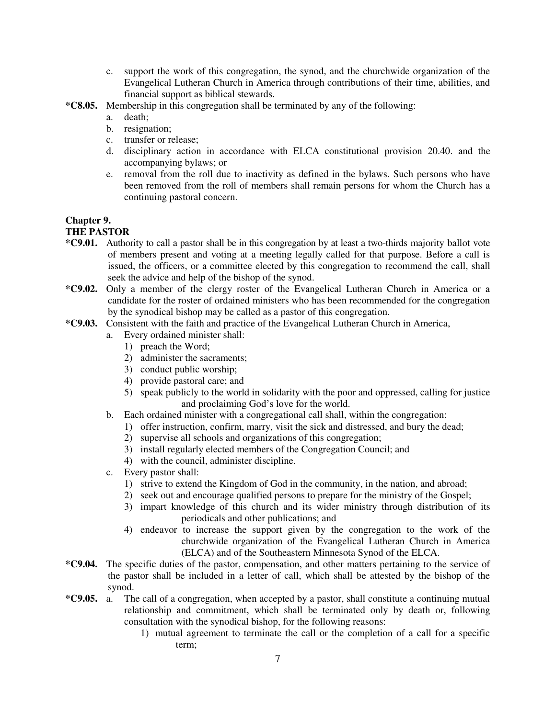- c. support the work of this congregation, the synod, and the churchwide organization of the Evangelical Lutheran Church in America through contributions of their time, abilities, and financial support as biblical stewards.
- **\*C8.05.** Membership in this congregation shall be terminated by any of the following:
	- a. death;
	- b. resignation;
	- c. transfer or release;
	- d. disciplinary action in accordance with ELCA constitutional provision 20.40. and the accompanying bylaws; or
	- e. removal from the roll due to inactivity as defined in the bylaws. Such persons who have been removed from the roll of members shall remain persons for whom the Church has a continuing pastoral concern.

### **Chapter 9. THE PASTOR**

- **\*C9.01.** Authority to call a pastor shall be in this congregation by at least a two-thirds majority ballot vote of members present and voting at a meeting legally called for that purpose. Before a call is issued, the officers, or a committee elected by this congregation to recommend the call, shall seek the advice and help of the bishop of the synod.
- **\*C9.02.** Only a member of the clergy roster of the Evangelical Lutheran Church in America or a candidate for the roster of ordained ministers who has been recommended for the congregation by the synodical bishop may be called as a pastor of this congregation.
- **\*C9.03.** Consistent with the faith and practice of the Evangelical Lutheran Church in America,
	- a. Every ordained minister shall:
		- 1) preach the Word;
		- 2) administer the sacraments;
		- 3) conduct public worship;
		- 4) provide pastoral care; and
		- 5) speak publicly to the world in solidarity with the poor and oppressed, calling for justice and proclaiming God's love for the world.
	- b. Each ordained minister with a congregational call shall, within the congregation:
		- 1) offer instruction, confirm, marry, visit the sick and distressed, and bury the dead;
		- 2) supervise all schools and organizations of this congregation;
		- 3) install regularly elected members of the Congregation Council; and
		- 4) with the council, administer discipline.
	- c. Every pastor shall:
		- 1) strive to extend the Kingdom of God in the community, in the nation, and abroad;
		- 2) seek out and encourage qualified persons to prepare for the ministry of the Gospel;
		- 3) impart knowledge of this church and its wider ministry through distribution of its periodicals and other publications; and
		- 4) endeavor to increase the support given by the congregation to the work of the churchwide organization of the Evangelical Lutheran Church in America (ELCA) and of the Southeastern Minnesota Synod of the ELCA.
- **\*C9.04.** The specific duties of the pastor, compensation, and other matters pertaining to the service of the pastor shall be included in a letter of call, which shall be attested by the bishop of the synod.
- **\*C9.05.** a. The call of a congregation, when accepted by a pastor, shall constitute a continuing mutual relationship and commitment, which shall be terminated only by death or, following consultation with the synodical bishop, for the following reasons:
	- 1) mutual agreement to terminate the call or the completion of a call for a specific term;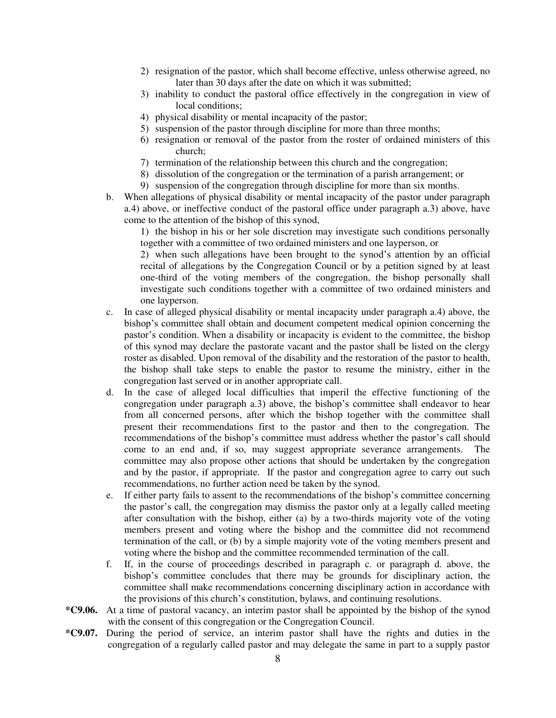- 2) resignation of the pastor, which shall become effective, unless otherwise agreed, no later than 30 days after the date on which it was submitted;
- 3) inability to conduct the pastoral office effectively in the congregation in view of local conditions;
- 4) physical disability or mental incapacity of the pastor;
- 5) suspension of the pastor through discipline for more than three months;
- 6) resignation or removal of the pastor from the roster of ordained ministers of this church;
- 7) termination of the relationship between this church and the congregation;
- 8) dissolution of the congregation or the termination of a parish arrangement; or
- 9) suspension of the congregation through discipline for more than six months.
- b. When allegations of physical disability or mental incapacity of the pastor under paragraph a.4) above, or ineffective conduct of the pastoral office under paragraph a.3) above, have come to the attention of the bishop of this synod,

 1) the bishop in his or her sole discretion may investigate such conditions personally together with a committee of two ordained ministers and one layperson, or

 2) when such allegations have been brought to the synod's attention by an official recital of allegations by the Congregation Council or by a petition signed by at least one-third of the voting members of the congregation, the bishop personally shall investigate such conditions together with a committee of two ordained ministers and one layperson.

- c. In case of alleged physical disability or mental incapacity under paragraph a.4) above, the bishop's committee shall obtain and document competent medical opinion concerning the pastor's condition. When a disability or incapacity is evident to the committee, the bishop of this synod may declare the pastorate vacant and the pastor shall be listed on the clergy roster as disabled. Upon removal of the disability and the restoration of the pastor to health, the bishop shall take steps to enable the pastor to resume the ministry, either in the congregation last served or in another appropriate call.
- d. In the case of alleged local difficulties that imperil the effective functioning of the congregation under paragraph a.3) above, the bishop's committee shall endeavor to hear from all concerned persons, after which the bishop together with the committee shall present their recommendations first to the pastor and then to the congregation. The recommendations of the bishop's committee must address whether the pastor's call should come to an end and, if so, may suggest appropriate severance arrangements. The committee may also propose other actions that should be undertaken by the congregation and by the pastor, if appropriate. If the pastor and congregation agree to carry out such recommendations, no further action need be taken by the synod.
- e. If either party fails to assent to the recommendations of the bishop's committee concerning the pastor's call, the congregation may dismiss the pastor only at a legally called meeting after consultation with the bishop, either (a) by a two-thirds majority vote of the voting members present and voting where the bishop and the committee did not recommend termination of the call, or (b) by a simple majority vote of the voting members present and voting where the bishop and the committee recommended termination of the call.
- f. If, in the course of proceedings described in paragraph c. or paragraph d. above, the bishop's committee concludes that there may be grounds for disciplinary action, the committee shall make recommendations concerning disciplinary action in accordance with the provisions of this church's constitution, bylaws, and continuing resolutions.
- **\*C9.06.** At a time of pastoral vacancy, an interim pastor shall be appointed by the bishop of the synod with the consent of this congregation or the Congregation Council.
- **\*C9.07.** During the period of service, an interim pastor shall have the rights and duties in the congregation of a regularly called pastor and may delegate the same in part to a supply pastor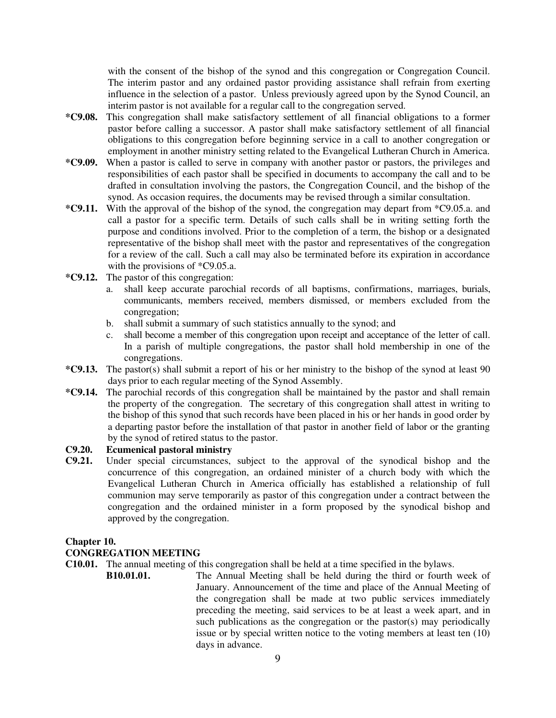with the consent of the bishop of the synod and this congregation or Congregation Council. The interim pastor and any ordained pastor providing assistance shall refrain from exerting influence in the selection of a pastor. Unless previously agreed upon by the Synod Council, an interim pastor is not available for a regular call to the congregation served.

- **\*C9.08.** This congregation shall make satisfactory settlement of all financial obligations to a former pastor before calling a successor. A pastor shall make satisfactory settlement of all financial obligations to this congregation before beginning service in a call to another congregation or employment in another ministry setting related to the Evangelical Lutheran Church in America.
- **\*C9.09.** When a pastor is called to serve in company with another pastor or pastors, the privileges and responsibilities of each pastor shall be specified in documents to accompany the call and to be drafted in consultation involving the pastors, the Congregation Council, and the bishop of the synod. As occasion requires, the documents may be revised through a similar consultation.
- **\*C9.11.** With the approval of the bishop of the synod, the congregation may depart from \*C9.05.a. and call a pastor for a specific term. Details of such calls shall be in writing setting forth the purpose and conditions involved. Prior to the completion of a term, the bishop or a designated representative of the bishop shall meet with the pastor and representatives of the congregation for a review of the call. Such a call may also be terminated before its expiration in accordance with the provisions of \*C9.05.a.
- **\*C9.12.** The pastor of this congregation:
	- a. shall keep accurate parochial records of all baptisms, confirmations, marriages, burials, communicants, members received, members dismissed, or members excluded from the congregation;
	- b. shall submit a summary of such statistics annually to the synod; and
	- c. shall become a member of this congregation upon receipt and acceptance of the letter of call. In a parish of multiple congregations, the pastor shall hold membership in one of the congregations.
- **\*C9.13.** The pastor(s) shall submit a report of his or her ministry to the bishop of the synod at least 90 days prior to each regular meeting of the Synod Assembly.
- **\*C9.14.** The parochial records of this congregation shall be maintained by the pastor and shall remain the property of the congregation. The secretary of this congregation shall attest in writing to the bishop of this synod that such records have been placed in his or her hands in good order by a departing pastor before the installation of that pastor in another field of labor or the granting by the synod of retired status to the pastor.

## **C9.20. Ecumenical pastoral ministry**

**C9.21.** Under special circumstances, subject to the approval of the synodical bishop and the concurrence of this congregation, an ordained minister of a church body with which the Evangelical Lutheran Church in America officially has established a relationship of full communion may serve temporarily as pastor of this congregation under a contract between the congregation and the ordained minister in a form proposed by the synodical bishop and approved by the congregation.

### **Chapter 10.**

## **CONGREGATION MEETING**

**C10.01.** The annual meeting of this congregation shall be held at a time specified in the bylaws.<br>**B10.01.01.** The Annual Meeting shall be held during the third or fourth

**B10.01.01.** The Annual Meeting shall be held during the third or fourth week of January. Announcement of the time and place of the Annual Meeting of the congregation shall be made at two public services immediately preceding the meeting, said services to be at least a week apart, and in such publications as the congregation or the pastor(s) may periodically issue or by special written notice to the voting members at least ten (10) days in advance.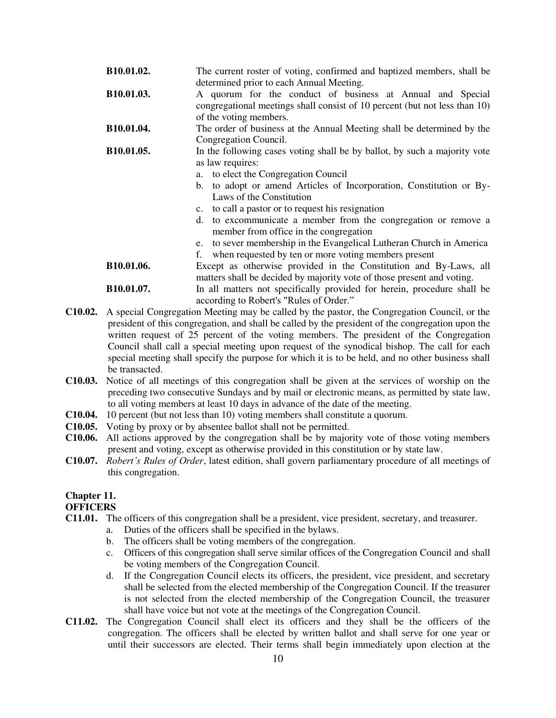| B10.01.02.                    | The current roster of voting, confirmed and baptized members, shall be<br>determined prior to each Annual Meeting.                                                                                                                                                                                                                                                                                                                                                                      |
|-------------------------------|-----------------------------------------------------------------------------------------------------------------------------------------------------------------------------------------------------------------------------------------------------------------------------------------------------------------------------------------------------------------------------------------------------------------------------------------------------------------------------------------|
| B10.01.03.                    | A quorum for the conduct of business at Annual and Special<br>congregational meetings shall consist of 10 percent (but not less than 10)<br>of the voting members.                                                                                                                                                                                                                                                                                                                      |
| B10.01.04.                    | The order of business at the Annual Meeting shall be determined by the<br>Congregation Council.                                                                                                                                                                                                                                                                                                                                                                                         |
| B10.01.05.                    | In the following cases voting shall be by ballot, by such a majority vote<br>as law requires:<br>a. to elect the Congregation Council<br>b. to adopt or amend Articles of Incorporation, Constitution or By-<br>Laws of the Constitution<br>c. to call a pastor or to request his resignation<br>to excommunicate a member from the congregation or remove a<br>d.<br>member from office in the congregation<br>to sever membership in the Evangelical Lutheran Church in America<br>e. |
|                               | when requested by ten or more voting members present<br>f.                                                                                                                                                                                                                                                                                                                                                                                                                              |
| B10.01.06.                    | Except as otherwise provided in the Constitution and By-Laws, all<br>matters shall be decided by majority vote of those present and voting.                                                                                                                                                                                                                                                                                                                                             |
| $\mathbf{r}$ and $\mathbf{r}$ |                                                                                                                                                                                                                                                                                                                                                                                                                                                                                         |

- **B10.01.07.** In all matters not specifically provided for herein, procedure shall be according to Robert's "Rules of Order."
- **C10.02.** A special Congregation Meeting may be called by the pastor, the Congregation Council, or the president of this congregation, and shall be called by the president of the congregation upon the written request of 25 percent of the voting members. The president of the Congregation Council shall call a special meeting upon request of the synodical bishop. The call for each special meeting shall specify the purpose for which it is to be held, and no other business shall be transacted.
- **C10.03.** Notice of all meetings of this congregation shall be given at the services of worship on the preceding two consecutive Sundays and by mail or electronic means, as permitted by state law, to all voting members at least 10 days in advance of the date of the meeting.
- **C10.04.** 10 percent (but not less than 10) voting members shall constitute a quorum.
- **C10.05.** Voting by proxy or by absentee ballot shall not be permitted.
- **C10.06.** All actions approved by the congregation shall be by majority vote of those voting members present and voting, except as otherwise provided in this constitution or by state law.
- **C10.07.** *Robert's Rules of Order*, latest edition, shall govern parliamentary procedure of all meetings of this congregation.

## **Chapter 11.**

## **OFFICERS**

- **C11.01.** The officers of this congregation shall be a president, vice president, secretary, and treasurer.
	- a. Duties of the officers shall be specified in the bylaws.
	- b. The officers shall be voting members of the congregation.
	- c. Officers of this congregation shall serve similar offices of the Congregation Council and shall be voting members of the Congregation Council.
	- d. If the Congregation Council elects its officers, the president, vice president, and secretary shall be selected from the elected membership of the Congregation Council. If the treasurer is not selected from the elected membership of the Congregation Council, the treasurer shall have voice but not vote at the meetings of the Congregation Council.
- **C11.02.** The Congregation Council shall elect its officers and they shall be the officers of the congregation. The officers shall be elected by written ballot and shall serve for one year or until their successors are elected. Their terms shall begin immediately upon election at the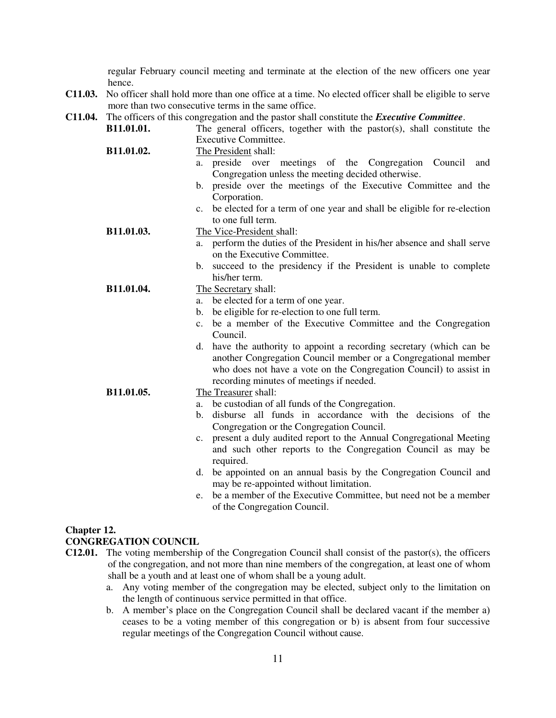regular February council meeting and terminate at the election of the new officers one year hence.

- **C11.03.** No officer shall hold more than one office at a time. No elected officer shall be eligible to serve more than two consecutive terms in the same office.
- **C11.04.** The officers of this congregation and the pastor shall constitute the *Executive Committee*.

| B11.01.01. | The general officers, together with the pastor(s), shall constitute the       |
|------------|-------------------------------------------------------------------------------|
|            | <b>Executive Committee.</b>                                                   |
| B11.01.02. | The President shall:                                                          |
|            | preside over meetings of the Congregation<br>Council<br>and<br>a.             |
|            | Congregation unless the meeting decided otherwise.                            |
|            | preside over the meetings of the Executive Committee and the<br>b.            |
|            | Corporation.                                                                  |
|            | be elected for a term of one year and shall be eligible for re-election<br>c. |
|            | to one full term.                                                             |
| B11.01.03. | The Vice-President shall:                                                     |
|            | perform the duties of the President in his/her absence and shall serve<br>a.  |
|            | on the Executive Committee.                                                   |
|            | succeed to the presidency if the President is unable to complete<br>b.        |
|            | his/her term.                                                                 |
| B11.01.04. | The Secretary shall:                                                          |
|            | be elected for a term of one year.<br>a.                                      |
|            | be eligible for re-election to one full term.<br>b.                           |
|            | be a member of the Executive Committee and the Congregation<br>C <sub>1</sub> |
|            | Council.                                                                      |
|            | have the authority to appoint a recording secretary (which can be<br>d.       |
|            | another Congregation Council member or a Congregational member                |
|            | who does not have a vote on the Congregation Council) to assist in            |
|            | recording minutes of meetings if needed.                                      |
| B11.01.05. | The Treasurer shall:                                                          |
|            | be custodian of all funds of the Congregation.<br>a.                          |
|            | disburse all funds in accordance with the decisions of the<br>b.              |
|            | Congregation or the Congregation Council.                                     |
|            | present a duly audited report to the Annual Congregational Meeting<br>c.      |
|            | and such other reports to the Congregation Council as may be                  |
|            | required.                                                                     |
|            | be appointed on an annual basis by the Congregation Council and<br>d.         |
|            | may be re-appointed without limitation.                                       |
|            | be a member of the Executive Committee, but need not be a member<br>e.        |
|            | of the Congregation Council.                                                  |

## **Chapter 12.**

### **CONGREGATION COUNCIL**

- **C12.01.** The voting membership of the Congregation Council shall consist of the pastor(s), the officers of the congregation, and not more than nine members of the congregation, at least one of whom shall be a youth and at least one of whom shall be a young adult.
	- a. Any voting member of the congregation may be elected, subject only to the limitation on the length of continuous service permitted in that office.
	- b. A member's place on the Congregation Council shall be declared vacant if the member a) ceases to be a voting member of this congregation or b) is absent from four successive regular meetings of the Congregation Council without cause.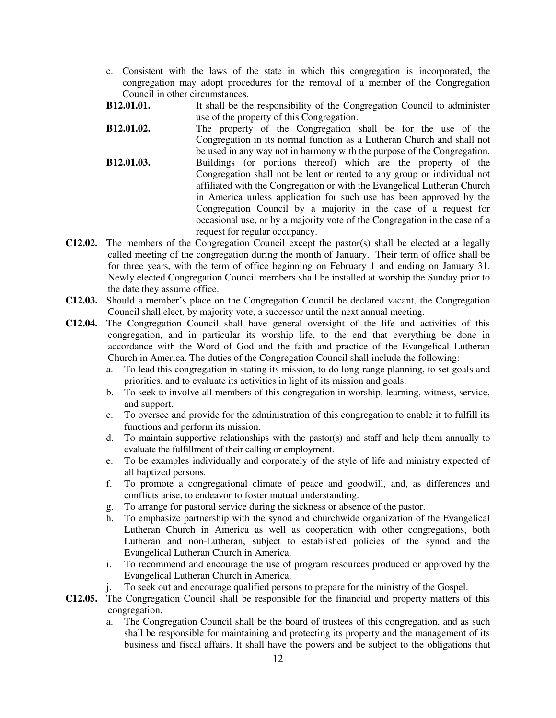- c. Consistent with the laws of the state in which this congregation is incorporated, the congregation may adopt procedures for the removal of a member of the Congregation Council in other circumstances.
- **B12.01.01.** It shall be the responsibility of the Congregation Council to administer use of the property of this Congregation.
- **B12.01.02.** The property of the Congregation shall be for the use of the Congregation in its normal function as a Lutheran Church and shall not be used in any way not in harmony with the purpose of the Congregation. **B12.01.03.** Buildings (or portions thereof) which are the property of the Congregation shall not be lent or rented to any group or individual not affiliated with the Congregation or with the Evangelical Lutheran Church in America unless application for such use has been approved by the Congregation Council by a majority in the case of a request for occasional use, or by a majority vote of the Congregation in the case of a request for regular occupancy.
- **C12.02.** The members of the Congregation Council except the pastor(s) shall be elected at a legally called meeting of the congregation during the month of January. Their term of office shall be for three years, with the term of office beginning on February 1 and ending on January 31. Newly elected Congregation Council members shall be installed at worship the Sunday prior to the date they assume office.
- **C12.03.** Should a member's place on the Congregation Council be declared vacant, the Congregation Council shall elect, by majority vote, a successor until the next annual meeting.
- **C12.04.** The Congregation Council shall have general oversight of the life and activities of this congregation, and in particular its worship life, to the end that everything be done in accordance with the Word of God and the faith and practice of the Evangelical Lutheran Church in America. The duties of the Congregation Council shall include the following:
	- a. To lead this congregation in stating its mission, to do long-range planning, to set goals and priorities, and to evaluate its activities in light of its mission and goals.
	- b. To seek to involve all members of this congregation in worship, learning, witness, service, and support.
	- c. To oversee and provide for the administration of this congregation to enable it to fulfill its functions and perform its mission.
	- d. To maintain supportive relationships with the pastor(s) and staff and help them annually to evaluate the fulfillment of their calling or employment.
	- e. To be examples individually and corporately of the style of life and ministry expected of all baptized persons.
	- f. To promote a congregational climate of peace and goodwill, and, as differences and conflicts arise, to endeavor to foster mutual understanding.
	- g. To arrange for pastoral service during the sickness or absence of the pastor.
	- h. To emphasize partnership with the synod and churchwide organization of the Evangelical Lutheran Church in America as well as cooperation with other congregations, both Lutheran and non-Lutheran, subject to established policies of the synod and the Evangelical Lutheran Church in America.
	- i. To recommend and encourage the use of program resources produced or approved by the Evangelical Lutheran Church in America.
	- j. To seek out and encourage qualified persons to prepare for the ministry of the Gospel.
- **C12.05.** The Congregation Council shall be responsible for the financial and property matters of this congregation.
	- a. The Congregation Council shall be the board of trustees of this congregation, and as such shall be responsible for maintaining and protecting its property and the management of its business and fiscal affairs. It shall have the powers and be subject to the obligations that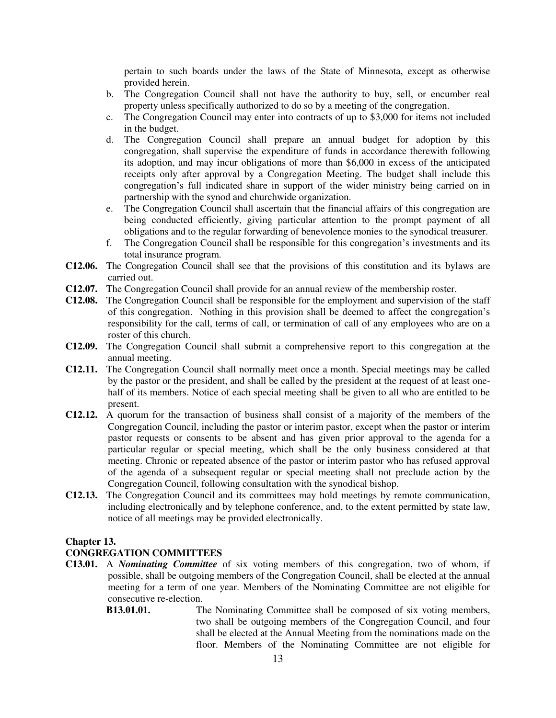pertain to such boards under the laws of the State of Minnesota, except as otherwise provided herein.

- b. The Congregation Council shall not have the authority to buy, sell, or encumber real property unless specifically authorized to do so by a meeting of the congregation.
- c. The Congregation Council may enter into contracts of up to \$3,000 for items not included in the budget.
- d. The Congregation Council shall prepare an annual budget for adoption by this congregation, shall supervise the expenditure of funds in accordance therewith following its adoption, and may incur obligations of more than \$6,000 in excess of the anticipated receipts only after approval by a Congregation Meeting. The budget shall include this congregation's full indicated share in support of the wider ministry being carried on in partnership with the synod and churchwide organization.
- e. The Congregation Council shall ascertain that the financial affairs of this congregation are being conducted efficiently, giving particular attention to the prompt payment of all obligations and to the regular forwarding of benevolence monies to the synodical treasurer.
- f. The Congregation Council shall be responsible for this congregation's investments and its total insurance program.
- **C12.06.** The Congregation Council shall see that the provisions of this constitution and its bylaws are carried out.
- **C12.07.** The Congregation Council shall provide for an annual review of the membership roster.
- **C12.08.** The Congregation Council shall be responsible for the employment and supervision of the staff of this congregation. Nothing in this provision shall be deemed to affect the congregation's responsibility for the call, terms of call, or termination of call of any employees who are on a roster of this church.
- **C12.09.** The Congregation Council shall submit a comprehensive report to this congregation at the annual meeting.
- **C12.11.** The Congregation Council shall normally meet once a month. Special meetings may be called by the pastor or the president, and shall be called by the president at the request of at least onehalf of its members. Notice of each special meeting shall be given to all who are entitled to be present.
- **C12.12.** A quorum for the transaction of business shall consist of a majority of the members of the Congregation Council, including the pastor or interim pastor, except when the pastor or interim pastor requests or consents to be absent and has given prior approval to the agenda for a particular regular or special meeting, which shall be the only business considered at that meeting. Chronic or repeated absence of the pastor or interim pastor who has refused approval of the agenda of a subsequent regular or special meeting shall not preclude action by the Congregation Council, following consultation with the synodical bishop.
- **C12.13.** The Congregation Council and its committees may hold meetings by remote communication, including electronically and by telephone conference, and, to the extent permitted by state law, notice of all meetings may be provided electronically.

## **Chapter 13.**

## **CONGREGATION COMMITTEES**

**C13.01.** A *Nominating Committee* of six voting members of this congregation, two of whom, if possible, shall be outgoing members of the Congregation Council, shall be elected at the annual meeting for a term of one year. Members of the Nominating Committee are not eligible for consecutive re-election.

## **B13.01.01.** The Nominating Committee shall be composed of six voting members, two shall be outgoing members of the Congregation Council, and four shall be elected at the Annual Meeting from the nominations made on the floor. Members of the Nominating Committee are not eligible for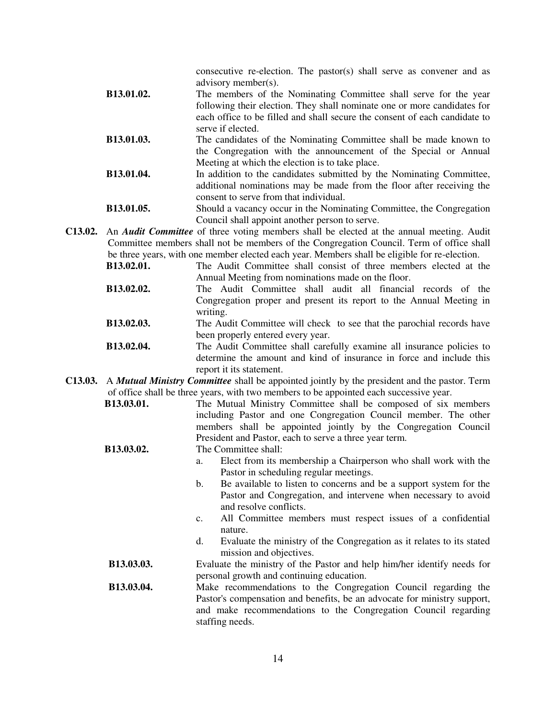|            | consecutive re-election. The pastor(s) shall serve as convener and as<br>advisory member(s).                   |
|------------|----------------------------------------------------------------------------------------------------------------|
| B13.01.02. | The members of the Nominating Committee shall serve for the year                                               |
|            | following their election. They shall nominate one or more candidates for                                       |
|            | each office to be filled and shall secure the consent of each candidate to<br>serve if elected.                |
| B13.01.03. | The candidates of the Nominating Committee shall be made known to                                              |
|            | the Congregation with the announcement of the Special or Annual                                                |
|            | Meeting at which the election is to take place.                                                                |
| B13.01.04. | In addition to the candidates submitted by the Nominating Committee,                                           |
|            | additional nominations may be made from the floor after receiving the                                          |
|            | consent to serve from that individual.                                                                         |
| B13.01.05. | Should a vacancy occur in the Nominating Committee, the Congregation                                           |
|            | Council shall appoint another person to serve.                                                                 |
|            | <b>C13.02.</b> An <i>Audit Committee</i> of three voting members shall be elected at the annual meeting. Audit |

Committee members shall not be members of the Congregation Council. Term of office shall be three years, with one member elected each year. Members shall be eligible for re-election.

**B13.02.01.** The Audit Committee shall consist of three members elected at the Annual Meeting from nominations made on the floor.

- **B13.02.02.** The Audit Committee shall audit all financial records of the Congregation proper and present its report to the Annual Meeting in writing.
- **B13.02.03.** The Audit Committee will check to see that the parochial records have been properly entered every year.
- **B13.02.04.** The Audit Committee shall carefully examine all insurance policies to determine the amount and kind of insurance in force and include this report it its statement.
- **C13.03.** A *Mutual Ministry Committee* shall be appointed jointly by the president and the pastor. Term of office shall be three years, with two members to be appointed each successive year.
	- **B13.03.01.** The Mutual Ministry Committee shall be composed of six members including Pastor and one Congregation Council member. The other members shall be appointed jointly by the Congregation Council President and Pastor, each to serve a three year term.

## **B13.03.02.** The Committee shall:

- a. Elect from its membership a Chairperson who shall work with the Pastor in scheduling regular meetings.
- b. Be available to listen to concerns and be a support system for the Pastor and Congregation, and intervene when necessary to avoid and resolve conflicts.
- c. All Committee members must respect issues of a confidential nature.
- d. Evaluate the ministry of the Congregation as it relates to its stated mission and objectives.

**B13.03.03.** Evaluate the ministry of the Pastor and help him/her identify needs for personal growth and continuing education.

**B13.03.04.** Make recommendations to the Congregation Council regarding the Pastor's compensation and benefits, be an advocate for ministry support, and make recommendations to the Congregation Council regarding staffing needs.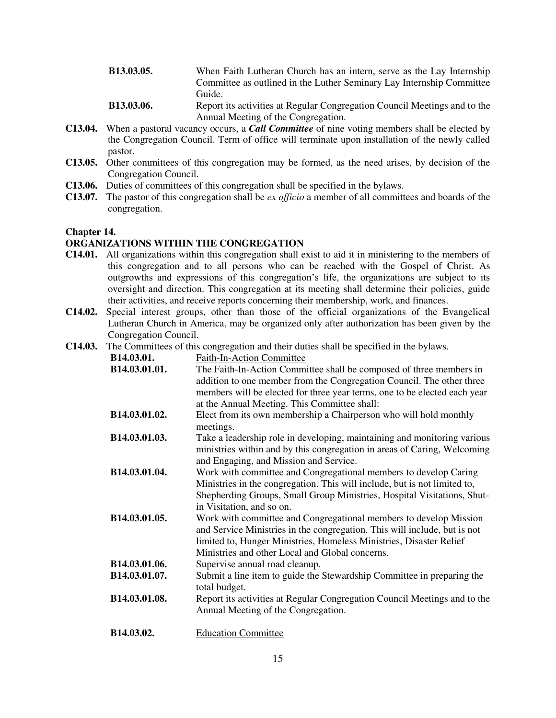| <b>B13.03.05.</b> | When Faith Lutheran Church has an intern, serve as the Lay Internship     |
|-------------------|---------------------------------------------------------------------------|
|                   | Committee as outlined in the Luther Seminary Lay Internship Committee     |
|                   | Guide.                                                                    |
| <b>R13 03 06</b>  | Report its activities at Requier Congregation Council Meetings and to the |

**B13.03.06.** Report its activities at Regular Congregation Council Meetings and to the Annual Meeting of the Congregation.

- **C13.04.** When a pastoral vacancy occurs, a *Call Committee* of nine voting members shall be elected by the Congregation Council. Term of office will terminate upon installation of the newly called pastor.
- **C13.05.** Other committees of this congregation may be formed, as the need arises, by decision of the Congregation Council.
- **C13.06.** Duties of committees of this congregation shall be specified in the bylaws.
- **C13.07.** The pastor of this congregation shall be *ex officio* a member of all committees and boards of the congregation.

#### **Chapter 14.**

### **ORGANIZATIONS WITHIN THE CONGREGATION**

- **C14.01.** All organizations within this congregation shall exist to aid it in ministering to the members of this congregation and to all persons who can be reached with the Gospel of Christ. As outgrowths and expressions of this congregation's life, the organizations are subject to its oversight and direction. This congregation at its meeting shall determine their policies, guide their activities, and receive reports concerning their membership, work, and finances.
- **C14.02.** Special interest groups, other than those of the official organizations of the Evangelical Lutheran Church in America, may be organized only after authorization has been given by the Congregation Council.
- **C14.03.** The Committees of this congregation and their duties shall be specified in the bylaws.

| B14.03.01.    | <b>Faith-In-Action Committee</b>                                                                                                             |
|---------------|----------------------------------------------------------------------------------------------------------------------------------------------|
| B14.03.01.01. | The Faith-In-Action Committee shall be composed of three members in<br>addition to one member from the Congregation Council. The other three |
|               | members will be elected for three year terms, one to be elected each year                                                                    |
|               | at the Annual Meeting. This Committee shall:                                                                                                 |
| B14.03.01.02. | Elect from its own membership a Chairperson who will hold monthly<br>meetings.                                                               |
| B14.03.01.03. | Take a leadership role in developing, maintaining and monitoring various                                                                     |
|               | ministries within and by this congregation in areas of Caring, Welcoming                                                                     |
|               | and Engaging, and Mission and Service.                                                                                                       |
| B14.03.01.04. | Work with committee and Congregational members to develop Caring                                                                             |
|               | Ministries in the congregation. This will include, but is not limited to,                                                                    |
|               | Shepherding Groups, Small Group Ministries, Hospital Visitations, Shut-                                                                      |
|               | in Visitation, and so on.                                                                                                                    |
| B14.03.01.05. | Work with committee and Congregational members to develop Mission                                                                            |
|               | and Service Ministries in the congregation. This will include, but is not                                                                    |
|               | limited to, Hunger Ministries, Homeless Ministries, Disaster Relief                                                                          |
|               | Ministries and other Local and Global concerns.                                                                                              |
| B14.03.01.06. | Supervise annual road cleanup.                                                                                                               |
| B14.03.01.07. | Submit a line item to guide the Stewardship Committee in preparing the                                                                       |
|               | total budget.                                                                                                                                |
| B14.03.01.08. | Report its activities at Regular Congregation Council Meetings and to the                                                                    |
|               | Annual Meeting of the Congregation.                                                                                                          |
| B14.03.02.    | <b>Education Committee</b>                                                                                                                   |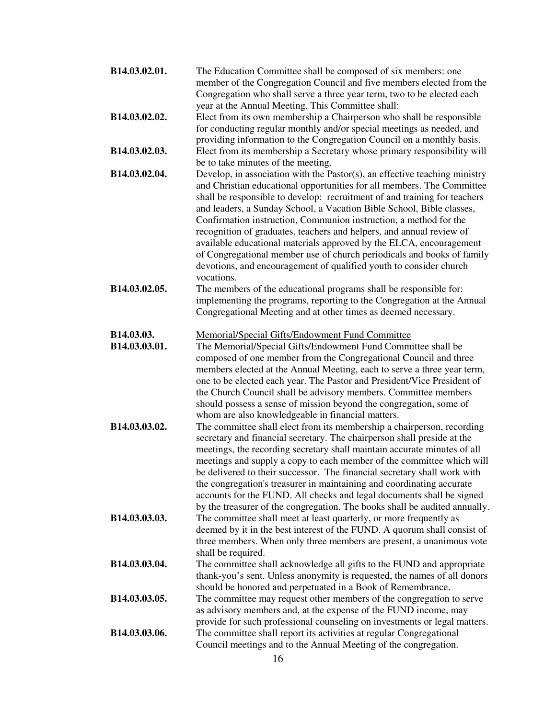| B14.03.02.01.               | The Education Committee shall be composed of six members: one<br>member of the Congregation Council and five members elected from the<br>Congregation who shall serve a three year term, two to be elected each<br>year at the Annual Meeting. This Committee shall:                                                                                                                                                                                                                                                                                                                                                                                                                             |
|-----------------------------|--------------------------------------------------------------------------------------------------------------------------------------------------------------------------------------------------------------------------------------------------------------------------------------------------------------------------------------------------------------------------------------------------------------------------------------------------------------------------------------------------------------------------------------------------------------------------------------------------------------------------------------------------------------------------------------------------|
| B14.03.02.02.               | Elect from its own membership a Chairperson who shall be responsible<br>for conducting regular monthly and/or special meetings as needed, and<br>providing information to the Congregation Council on a monthly basis.                                                                                                                                                                                                                                                                                                                                                                                                                                                                           |
| B14.03.02.03.               | Elect from its membership a Secretary whose primary responsibility will<br>be to take minutes of the meeting.                                                                                                                                                                                                                                                                                                                                                                                                                                                                                                                                                                                    |
| B14.03.02.04.               | Develop, in association with the Pastor $(s)$ , an effective teaching ministry<br>and Christian educational opportunities for all members. The Committee<br>shall be responsible to develop: recruitment of and training for teachers<br>and leaders, a Sunday School, a Vacation Bible School, Bible classes,<br>Confirmation instruction, Communion instruction, a method for the<br>recognition of graduates, teachers and helpers, and annual review of<br>available educational materials approved by the ELCA, encouragement<br>of Congregational member use of church periodicals and books of family<br>devotions, and encouragement of qualified youth to consider church<br>vocations. |
| B14.03.02.05.               | The members of the educational programs shall be responsible for:<br>implementing the programs, reporting to the Congregation at the Annual<br>Congregational Meeting and at other times as deemed necessary.                                                                                                                                                                                                                                                                                                                                                                                                                                                                                    |
| B14.03.03.<br>B14.03.03.01. | Memorial/Special Gifts/Endowment Fund Committee<br>The Memorial/Special Gifts/Endowment Fund Committee shall be<br>composed of one member from the Congregational Council and three<br>members elected at the Annual Meeting, each to serve a three year term,<br>one to be elected each year. The Pastor and President/Vice President of<br>the Church Council shall be advisory members. Committee members<br>should possess a sense of mission beyond the congregation, some of<br>whom are also knowledgeable in financial matters.                                                                                                                                                          |
| B14.03.03.02.               | The committee shall elect from its membership a chairperson, recording<br>secretary and financial secretary. The chairperson shall preside at the<br>meetings, the recording secretary shall maintain accurate minutes of all<br>meetings and supply a copy to each member of the committee which will<br>be delivered to their successor. The financial secretary shall work with<br>the congregation's treasurer in maintaining and coordinating accurate<br>accounts for the FUND. All checks and legal documents shall be signed<br>by the treasurer of the congregation. The books shall be audited annually.                                                                               |
| B14.03.03.03.               | The committee shall meet at least quarterly, or more frequently as<br>deemed by it in the best interest of the FUND. A quorum shall consist of<br>three members. When only three members are present, a unanimous vote<br>shall be required.                                                                                                                                                                                                                                                                                                                                                                                                                                                     |
| B14.03.03.04.               | The committee shall acknowledge all gifts to the FUND and appropriate<br>thank-you's sent. Unless anonymity is requested, the names of all donors<br>should be honored and perpetuated in a Book of Remembrance.                                                                                                                                                                                                                                                                                                                                                                                                                                                                                 |
| B14.03.03.05.               | The committee may request other members of the congregation to serve<br>as advisory members and, at the expense of the FUND income, may<br>provide for such professional counseling on investments or legal matters.                                                                                                                                                                                                                                                                                                                                                                                                                                                                             |
| B14.03.03.06.               | The committee shall report its activities at regular Congregational<br>Council meetings and to the Annual Meeting of the congregation.                                                                                                                                                                                                                                                                                                                                                                                                                                                                                                                                                           |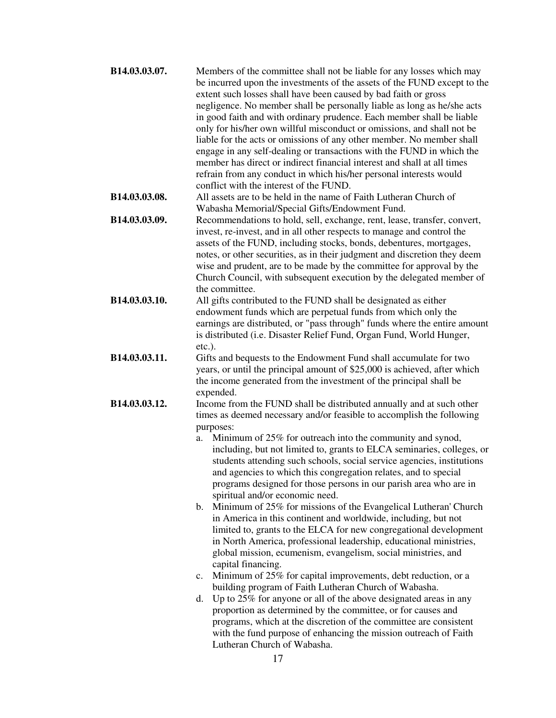| B14.03.03.07. | Members of the committee shall not be liable for any losses which may<br>be incurred upon the investments of the assets of the FUND except to the<br>extent such losses shall have been caused by bad faith or gross<br>negligence. No member shall be personally liable as long as he/she acts<br>in good faith and with ordinary prudence. Each member shall be liable<br>only for his/her own willful misconduct or omissions, and shall not be<br>liable for the acts or omissions of any other member. No member shall<br>engage in any self-dealing or transactions with the FUND in which the<br>member has direct or indirect financial interest and shall at all times<br>refrain from any conduct in which his/her personal interests would<br>conflict with the interest of the FUND.                                                                                                                                                                                                                                                                                                                                                                                                                                                                                                                                                                                                                     |  |
|---------------|----------------------------------------------------------------------------------------------------------------------------------------------------------------------------------------------------------------------------------------------------------------------------------------------------------------------------------------------------------------------------------------------------------------------------------------------------------------------------------------------------------------------------------------------------------------------------------------------------------------------------------------------------------------------------------------------------------------------------------------------------------------------------------------------------------------------------------------------------------------------------------------------------------------------------------------------------------------------------------------------------------------------------------------------------------------------------------------------------------------------------------------------------------------------------------------------------------------------------------------------------------------------------------------------------------------------------------------------------------------------------------------------------------------------|--|
| B14.03.03.08. | All assets are to be held in the name of Faith Lutheran Church of<br>Wabasha Memorial/Special Gifts/Endowment Fund.                                                                                                                                                                                                                                                                                                                                                                                                                                                                                                                                                                                                                                                                                                                                                                                                                                                                                                                                                                                                                                                                                                                                                                                                                                                                                                  |  |
| B14.03.03.09. | Recommendations to hold, sell, exchange, rent, lease, transfer, convert,<br>invest, re-invest, and in all other respects to manage and control the<br>assets of the FUND, including stocks, bonds, debentures, mortgages,<br>notes, or other securities, as in their judgment and discretion they deem<br>wise and prudent, are to be made by the committee for approval by the<br>Church Council, with subsequent execution by the delegated member of<br>the committee.                                                                                                                                                                                                                                                                                                                                                                                                                                                                                                                                                                                                                                                                                                                                                                                                                                                                                                                                            |  |
| B14.03.03.10. | All gifts contributed to the FUND shall be designated as either<br>endowment funds which are perpetual funds from which only the<br>earnings are distributed, or "pass through" funds where the entire amount<br>is distributed (i.e. Disaster Relief Fund, Organ Fund, World Hunger,<br>$etc.$ ).                                                                                                                                                                                                                                                                                                                                                                                                                                                                                                                                                                                                                                                                                                                                                                                                                                                                                                                                                                                                                                                                                                                   |  |
| B14.03.03.11. | Gifts and bequests to the Endowment Fund shall accumulate for two<br>years, or until the principal amount of \$25,000 is achieved, after which<br>the income generated from the investment of the principal shall be                                                                                                                                                                                                                                                                                                                                                                                                                                                                                                                                                                                                                                                                                                                                                                                                                                                                                                                                                                                                                                                                                                                                                                                                 |  |
| B14.03.03.12. | expended.<br>Income from the FUND shall be distributed annually and at such other<br>times as deemed necessary and/or feasible to accomplish the following<br>purposes:<br>Minimum of 25% for outreach into the community and synod,<br>a.<br>including, but not limited to, grants to ELCA seminaries, colleges, or<br>students attending such schools, social service agencies, institutions<br>and agencies to which this congregation relates, and to special<br>programs designed for those persons in our parish area who are in<br>spiritual and/or economic need.<br>b. Minimum of 25% for missions of the Evangelical Lutheran' Church<br>in America in this continent and worldwide, including, but not<br>limited to, grants to the ELCA for new congregational development<br>in North America, professional leadership, educational ministries,<br>global mission, ecumenism, evangelism, social ministries, and<br>capital financing.<br>Minimum of 25% for capital improvements, debt reduction, or a<br>$c_{\cdot}$<br>building program of Faith Lutheran Church of Wabasha.<br>Up to 25% for anyone or all of the above designated areas in any<br>d.<br>proportion as determined by the committee, or for causes and<br>programs, which at the discretion of the committee are consistent<br>with the fund purpose of enhancing the mission outreach of Faith<br>Lutheran Church of Wabasha.<br>17 |  |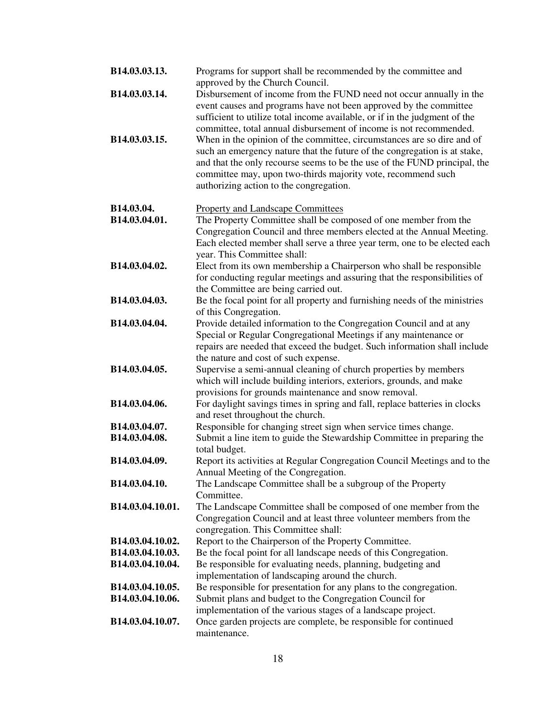| B14.03.03.13.    | Programs for support shall be recommended by the committee and<br>approved by the Church Council.                                                                                                                                                                                                                                           |
|------------------|---------------------------------------------------------------------------------------------------------------------------------------------------------------------------------------------------------------------------------------------------------------------------------------------------------------------------------------------|
| B14.03.03.14.    | Disbursement of income from the FUND need not occur annually in the<br>event causes and programs have not been approved by the committee<br>sufficient to utilize total income available, or if in the judgment of the<br>committee, total annual disbursement of income is not recommended.                                                |
| B14.03.03.15.    | When in the opinion of the committee, circumstances are so dire and of<br>such an emergency nature that the future of the congregation is at stake,<br>and that the only recourse seems to be the use of the FUND principal, the<br>committee may, upon two-thirds majority vote, recommend such<br>authorizing action to the congregation. |
| B14.03.04.       | <b>Property and Landscape Committees</b>                                                                                                                                                                                                                                                                                                    |
| B14.03.04.01.    | The Property Committee shall be composed of one member from the                                                                                                                                                                                                                                                                             |
|                  | Congregation Council and three members elected at the Annual Meeting.                                                                                                                                                                                                                                                                       |
|                  | Each elected member shall serve a three year term, one to be elected each                                                                                                                                                                                                                                                                   |
|                  | year. This Committee shall:                                                                                                                                                                                                                                                                                                                 |
| B14.03.04.02.    | Elect from its own membership a Chairperson who shall be responsible                                                                                                                                                                                                                                                                        |
|                  | for conducting regular meetings and assuring that the responsibilities of                                                                                                                                                                                                                                                                   |
| B14.03.04.03.    | the Committee are being carried out.<br>Be the focal point for all property and furnishing needs of the ministries                                                                                                                                                                                                                          |
|                  | of this Congregation.                                                                                                                                                                                                                                                                                                                       |
| B14.03.04.04.    | Provide detailed information to the Congregation Council and at any                                                                                                                                                                                                                                                                         |
|                  | Special or Regular Congregational Meetings if any maintenance or                                                                                                                                                                                                                                                                            |
|                  | repairs are needed that exceed the budget. Such information shall include                                                                                                                                                                                                                                                                   |
|                  | the nature and cost of such expense.                                                                                                                                                                                                                                                                                                        |
| B14.03.04.05.    | Supervise a semi-annual cleaning of church properties by members<br>which will include building interiors, exteriors, grounds, and make                                                                                                                                                                                                     |
|                  | provisions for grounds maintenance and snow removal.                                                                                                                                                                                                                                                                                        |
| B14.03.04.06.    | For daylight savings times in spring and fall, replace batteries in clocks                                                                                                                                                                                                                                                                  |
|                  | and reset throughout the church.                                                                                                                                                                                                                                                                                                            |
| B14.03.04.07.    | Responsible for changing street sign when service times change.                                                                                                                                                                                                                                                                             |
| B14.03.04.08.    | Submit a line item to guide the Stewardship Committee in preparing the                                                                                                                                                                                                                                                                      |
|                  | total budget.                                                                                                                                                                                                                                                                                                                               |
| B14.03.04.09.    | Report its activities at Regular Congregation Council Meetings and to the                                                                                                                                                                                                                                                                   |
|                  | Annual Meeting of the Congregation.                                                                                                                                                                                                                                                                                                         |
| B14.03.04.10.    | The Landscape Committee shall be a subgroup of the Property                                                                                                                                                                                                                                                                                 |
| B14.03.04.10.01. | Committee.<br>The Landscape Committee shall be composed of one member from the                                                                                                                                                                                                                                                              |
|                  | Congregation Council and at least three volunteer members from the                                                                                                                                                                                                                                                                          |
|                  | congregation. This Committee shall:                                                                                                                                                                                                                                                                                                         |
| B14.03.04.10.02. | Report to the Chairperson of the Property Committee.                                                                                                                                                                                                                                                                                        |
| B14.03.04.10.03. | Be the focal point for all landscape needs of this Congregation.                                                                                                                                                                                                                                                                            |
| B14.03.04.10.04. | Be responsible for evaluating needs, planning, budgeting and                                                                                                                                                                                                                                                                                |
|                  | implementation of landscaping around the church.                                                                                                                                                                                                                                                                                            |
| B14.03.04.10.05. | Be responsible for presentation for any plans to the congregation.                                                                                                                                                                                                                                                                          |
| B14.03.04.10.06. | Submit plans and budget to the Congregation Council for                                                                                                                                                                                                                                                                                     |
|                  | implementation of the various stages of a landscape project.                                                                                                                                                                                                                                                                                |
| B14.03.04.10.07. | Once garden projects are complete, be responsible for continued<br>maintenance.                                                                                                                                                                                                                                                             |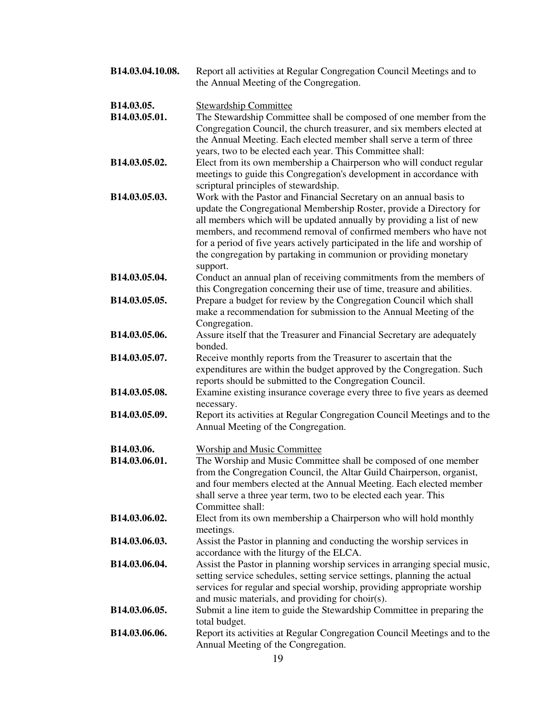| B14.03.04.10.08. | Report all activities at Regular Congregation Council Meetings and to<br>the Annual Meeting of the Congregation.                                                                                                                                                                                                                                                                                                                                       |
|------------------|--------------------------------------------------------------------------------------------------------------------------------------------------------------------------------------------------------------------------------------------------------------------------------------------------------------------------------------------------------------------------------------------------------------------------------------------------------|
| B14.03.05.       | <b>Stewardship Committee</b>                                                                                                                                                                                                                                                                                                                                                                                                                           |
| B14.03.05.01.    | The Stewardship Committee shall be composed of one member from the<br>Congregation Council, the church treasurer, and six members elected at<br>the Annual Meeting. Each elected member shall serve a term of three<br>years, two to be elected each year. This Committee shall:                                                                                                                                                                       |
| B14.03.05.02.    | Elect from its own membership a Chairperson who will conduct regular<br>meetings to guide this Congregation's development in accordance with<br>scriptural principles of stewardship.                                                                                                                                                                                                                                                                  |
| B14.03.05.03.    | Work with the Pastor and Financial Secretary on an annual basis to<br>update the Congregational Membership Roster, provide a Directory for<br>all members which will be updated annually by providing a list of new<br>members, and recommend removal of confirmed members who have not<br>for a period of five years actively participated in the life and worship of<br>the congregation by partaking in communion or providing monetary<br>support. |
| B14.03.05.04.    | Conduct an annual plan of receiving commitments from the members of<br>this Congregation concerning their use of time, treasure and abilities.                                                                                                                                                                                                                                                                                                         |
| B14.03.05.05.    | Prepare a budget for review by the Congregation Council which shall<br>make a recommendation for submission to the Annual Meeting of the<br>Congregation.                                                                                                                                                                                                                                                                                              |
| B14.03.05.06.    | Assure itself that the Treasurer and Financial Secretary are adequately<br>bonded.                                                                                                                                                                                                                                                                                                                                                                     |
| B14.03.05.07.    | Receive monthly reports from the Treasurer to ascertain that the<br>expenditures are within the budget approved by the Congregation. Such<br>reports should be submitted to the Congregation Council.                                                                                                                                                                                                                                                  |
| B14.03.05.08.    | Examine existing insurance coverage every three to five years as deemed<br>necessary.                                                                                                                                                                                                                                                                                                                                                                  |
| B14.03.05.09.    | Report its activities at Regular Congregation Council Meetings and to the<br>Annual Meeting of the Congregation.                                                                                                                                                                                                                                                                                                                                       |
| B14.03.06.       | <b>Worship and Music Committee</b>                                                                                                                                                                                                                                                                                                                                                                                                                     |
| B14.03.06.01.    | The Worship and Music Committee shall be composed of one member<br>from the Congregation Council, the Altar Guild Chairperson, organist,<br>and four members elected at the Annual Meeting. Each elected member<br>shall serve a three year term, two to be elected each year. This<br>Committee shall:                                                                                                                                                |
| B14.03.06.02.    | Elect from its own membership a Chairperson who will hold monthly<br>meetings.                                                                                                                                                                                                                                                                                                                                                                         |
| B14.03.06.03.    | Assist the Pastor in planning and conducting the worship services in<br>accordance with the liturgy of the ELCA.                                                                                                                                                                                                                                                                                                                                       |
| B14.03.06.04.    | Assist the Pastor in planning worship services in arranging special music,<br>setting service schedules, setting service settings, planning the actual<br>services for regular and special worship, providing appropriate worship<br>and music materials, and providing for choir(s).                                                                                                                                                                  |
| B14.03.06.05.    | Submit a line item to guide the Stewardship Committee in preparing the<br>total budget.                                                                                                                                                                                                                                                                                                                                                                |
| B14.03.06.06.    | Report its activities at Regular Congregation Council Meetings and to the<br>Annual Meeting of the Congregation.                                                                                                                                                                                                                                                                                                                                       |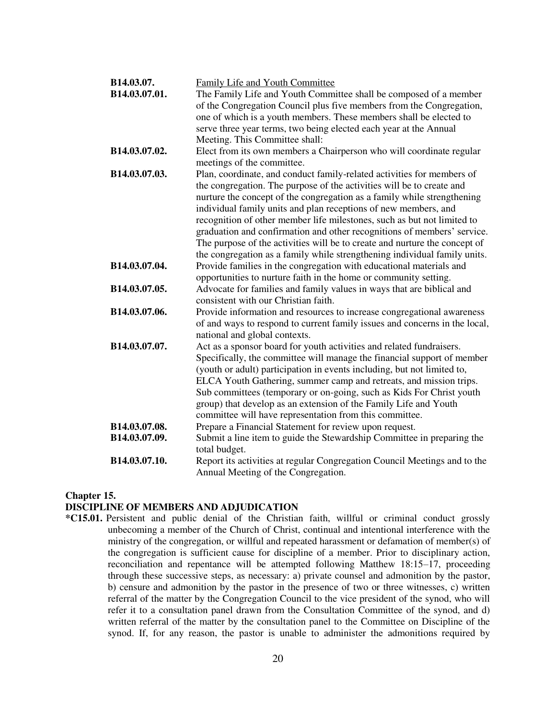| B14.03.07.    | Family Life and Youth Committee                                                                                                                    |
|---------------|----------------------------------------------------------------------------------------------------------------------------------------------------|
| B14.03.07.01. | The Family Life and Youth Committee shall be composed of a member                                                                                  |
|               | of the Congregation Council plus five members from the Congregation,                                                                               |
|               | one of which is a youth members. These members shall be elected to                                                                                 |
|               | serve three year terms, two being elected each year at the Annual                                                                                  |
|               | Meeting. This Committee shall:                                                                                                                     |
| B14.03.07.02. | Elect from its own members a Chairperson who will coordinate regular                                                                               |
| B14.03.07.03. | meetings of the committee.                                                                                                                         |
|               | Plan, coordinate, and conduct family-related activities for members of<br>the congregation. The purpose of the activities will be to create and    |
|               | nurture the concept of the congregation as a family while strengthening                                                                            |
|               | individual family units and plan receptions of new members, and                                                                                    |
|               | recognition of other member life milestones, such as but not limited to                                                                            |
|               | graduation and confirmation and other recognitions of members' service.                                                                            |
|               | The purpose of the activities will be to create and nurture the concept of                                                                         |
|               | the congregation as a family while strengthening individual family units.                                                                          |
| B14.03.07.04. | Provide families in the congregation with educational materials and                                                                                |
|               | opportunities to nurture faith in the home or community setting.                                                                                   |
| B14.03.07.05. | Advocate for families and family values in ways that are biblical and                                                                              |
|               | consistent with our Christian faith.                                                                                                               |
| B14.03.07.06. | Provide information and resources to increase congregational awareness                                                                             |
|               | of and ways to respond to current family issues and concerns in the local,                                                                         |
|               | national and global contexts.                                                                                                                      |
| B14.03.07.07. | Act as a sponsor board for youth activities and related fundraisers.                                                                               |
|               | Specifically, the committee will manage the financial support of member<br>(youth or adult) participation in events including, but not limited to, |
|               | ELCA Youth Gathering, summer camp and retreats, and mission trips.                                                                                 |
|               | Sub committees (temporary or on-going, such as Kids For Christ youth                                                                               |
|               | group) that develop as an extension of the Family Life and Youth                                                                                   |
|               | committee will have representation from this committee.                                                                                            |
| B14.03.07.08. | Prepare a Financial Statement for review upon request.                                                                                             |
| B14.03.07.09. | Submit a line item to guide the Stewardship Committee in preparing the                                                                             |
|               | total budget.                                                                                                                                      |
| B14.03.07.10. | Report its activities at regular Congregation Council Meetings and to the                                                                          |
|               | Annual Meeting of the Congregation.                                                                                                                |

### **Chapter 15.**

### **DISCIPLINE OF MEMBERS AND ADJUDICATION**

**\*C15.01.** Persistent and public denial of the Christian faith, willful or criminal conduct grossly unbecoming a member of the Church of Christ, continual and intentional interference with the ministry of the congregation, or willful and repeated harassment or defamation of member(s) of the congregation is sufficient cause for discipline of a member. Prior to disciplinary action, reconciliation and repentance will be attempted following Matthew 18:15–17, proceeding through these successive steps, as necessary: a) private counsel and admonition by the pastor, b) censure and admonition by the pastor in the presence of two or three witnesses, c) written referral of the matter by the Congregation Council to the vice president of the synod, who will refer it to a consultation panel drawn from the Consultation Committee of the synod, and d) written referral of the matter by the consultation panel to the Committee on Discipline of the synod. If, for any reason, the pastor is unable to administer the admonitions required by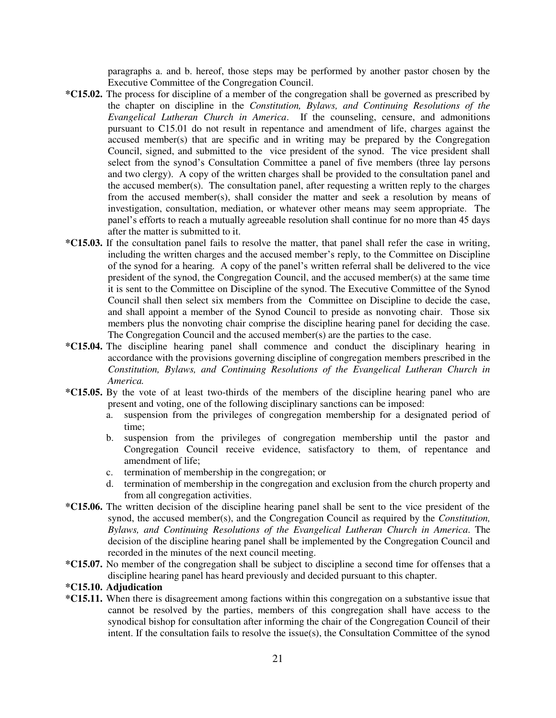paragraphs a. and b. hereof, those steps may be performed by another pastor chosen by the Executive Committee of the Congregation Council.

- **\*C15.02.** The process for discipline of a member of the congregation shall be governed as prescribed by the chapter on discipline in the *Constitution, Bylaws, and Continuing Resolutions of the Evangelical Lutheran Church in America*. If the counseling, censure, and admonitions pursuant to C15.01 do not result in repentance and amendment of life, charges against the accused member(s) that are specific and in writing may be prepared by the Congregation Council, signed, and submitted to the vice president of the synod. The vice president shall select from the synod's Consultation Committee a panel of five members (three lay persons and two clergy). A copy of the written charges shall be provided to the consultation panel and the accused member(s). The consultation panel, after requesting a written reply to the charges from the accused member(s), shall consider the matter and seek a resolution by means of investigation, consultation, mediation, or whatever other means may seem appropriate. The panel's efforts to reach a mutually agreeable resolution shall continue for no more than 45 days after the matter is submitted to it.
- **\*C15.03.** If the consultation panel fails to resolve the matter, that panel shall refer the case in writing, including the written charges and the accused member's reply, to the Committee on Discipline of the synod for a hearing. A copy of the panel's written referral shall be delivered to the vice president of the synod, the Congregation Council, and the accused member(s) at the same time it is sent to the Committee on Discipline of the synod. The Executive Committee of the Synod Council shall then select six members from the Committee on Discipline to decide the case, and shall appoint a member of the Synod Council to preside as nonvoting chair. Those six members plus the nonvoting chair comprise the discipline hearing panel for deciding the case. The Congregation Council and the accused member(s) are the parties to the case.
- **\*C15.04.** The discipline hearing panel shall commence and conduct the disciplinary hearing in accordance with the provisions governing discipline of congregation members prescribed in the *Constitution, Bylaws, and Continuing Resolutions of the Evangelical Lutheran Church in America.*
- **\*C15.05.** By the vote of at least two-thirds of the members of the discipline hearing panel who are present and voting, one of the following disciplinary sanctions can be imposed:
	- a. suspension from the privileges of congregation membership for a designated period of time;
	- b. suspension from the privileges of congregation membership until the pastor and Congregation Council receive evidence, satisfactory to them, of repentance and amendment of life;
	- c. termination of membership in the congregation; or
	- d. termination of membership in the congregation and exclusion from the church property and from all congregation activities.
- **\*C15.06.** The written decision of the discipline hearing panel shall be sent to the vice president of the synod, the accused member(s), and the Congregation Council as required by the *Constitution, Bylaws, and Continuing Resolutions of the Evangelical Lutheran Church in America*. The decision of the discipline hearing panel shall be implemented by the Congregation Council and recorded in the minutes of the next council meeting.
- **\*C15.07.** No member of the congregation shall be subject to discipline a second time for offenses that a discipline hearing panel has heard previously and decided pursuant to this chapter.

#### **\*C15.10. Adjudication**

**\*C15.11.** When there is disagreement among factions within this congregation on a substantive issue that cannot be resolved by the parties, members of this congregation shall have access to the synodical bishop for consultation after informing the chair of the Congregation Council of their intent. If the consultation fails to resolve the issue(s), the Consultation Committee of the synod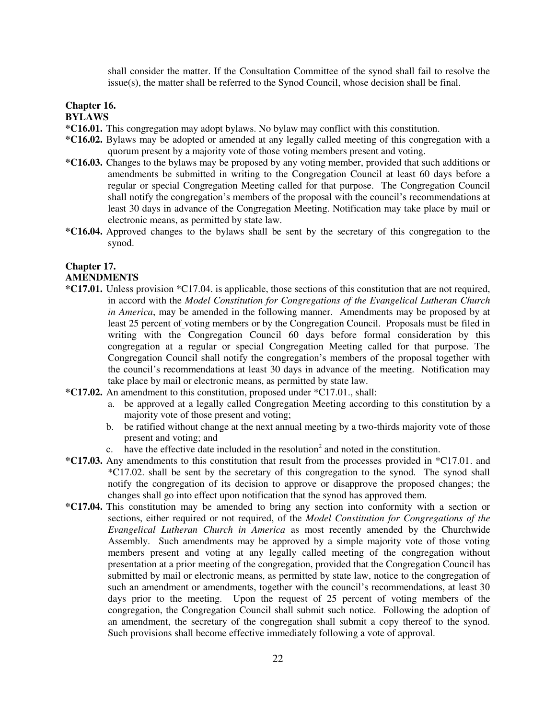shall consider the matter. If the Consultation Committee of the synod shall fail to resolve the  $is  $(s)$ , the matter shall be referred to the Synod Council, whose decision shall be final.$ 

## **Chapter 16.**

## **BYLAWS**

- **\*C16.01.** This congregation may adopt bylaws. No bylaw may conflict with this constitution.
- **\*C16.02.** Bylaws may be adopted or amended at any legally called meeting of this congregation with a quorum present by a majority vote of those voting members present and voting.
- **\*C16.03.** Changes to the bylaws may be proposed by any voting member, provided that such additions or amendments be submitted in writing to the Congregation Council at least 60 days before a regular or special Congregation Meeting called for that purpose. The Congregation Council shall notify the congregation's members of the proposal with the council's recommendations at least 30 days in advance of the Congregation Meeting. Notification may take place by mail or electronic means, as permitted by state law.
- **\*C16.04.** Approved changes to the bylaws shall be sent by the secretary of this congregation to the synod.

#### **Chapter 17. AMENDMENTS**

- **\*C17.01.** Unless provision \*C17.04. is applicable, those sections of this constitution that are not required, in accord with the *Model Constitution for Congregations of the Evangelical Lutheran Church in America*, may be amended in the following manner. Amendments may be proposed by at least 25 percent of voting members or by the Congregation Council. Proposals must be filed in writing with the Congregation Council 60 days before formal consideration by this congregation at a regular or special Congregation Meeting called for that purpose. The Congregation Council shall notify the congregation's members of the proposal together with the council's recommendations at least 30 days in advance of the meeting. Notification may take place by mail or electronic means, as permitted by state law.
- **\*C17.02.** An amendment to this constitution, proposed under \*C17.01., shall:
	- a. be approved at a legally called Congregation Meeting according to this constitution by a majority vote of those present and voting;
	- b. be ratified without change at the next annual meeting by a two-thirds majority vote of those present and voting; and
	- c. have the effective date included in the resolution<sup>2</sup> and noted in the constitution.
- **\*C17.03.** Any amendments to this constitution that result from the processes provided in \*C17.01. and \*C17.02. shall be sent by the secretary of this congregation to the synod. The synod shall notify the congregation of its decision to approve or disapprove the proposed changes; the changes shall go into effect upon notification that the synod has approved them.
- **\*C17.04.** This constitution may be amended to bring any section into conformity with a section or sections, either required or not required, of the *Model Constitution for Congregations of the Evangelical Lutheran Church in America* as most recently amended by the Churchwide Assembly. Such amendments may be approved by a simple majority vote of those voting members present and voting at any legally called meeting of the congregation without presentation at a prior meeting of the congregation, provided that the Congregation Council has submitted by mail or electronic means, as permitted by state law, notice to the congregation of such an amendment or amendments, together with the council's recommendations, at least 30 days prior to the meeting. Upon the request of 25 percent of voting members of the congregation, the Congregation Council shall submit such notice. Following the adoption of an amendment, the secretary of the congregation shall submit a copy thereof to the synod. Such provisions shall become effective immediately following a vote of approval.